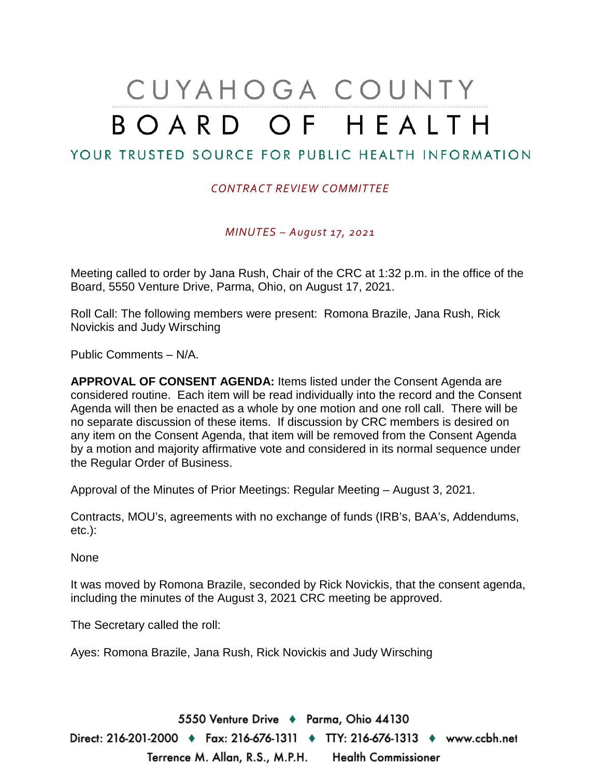# CUYAHOGA COUNTY BOARD OF HEALTH

# YOUR TRUSTED SOURCE FOR PUBLIC HEALTH INFORMATION

#### *CONTRACT REVIEW COMMITTEE*

*MINUTES – August 17, 2021*

Meeting called to order by Jana Rush, Chair of the CRC at 1:32 p.m. in the office of the Board, 5550 Venture Drive, Parma, Ohio, on August 17, 2021.

Roll Call: The following members were present: Romona Brazile, Jana Rush, Rick Novickis and Judy Wirsching

Public Comments – N/A.

**APPROVAL OF CONSENT AGENDA:** Items listed under the Consent Agenda are considered routine. Each item will be read individually into the record and the Consent Agenda will then be enacted as a whole by one motion and one roll call. There will be no separate discussion of these items. If discussion by CRC members is desired on any item on the Consent Agenda, that item will be removed from the Consent Agenda by a motion and majority affirmative vote and considered in its normal sequence under the Regular Order of Business.

Approval of the Minutes of Prior Meetings: Regular Meeting – August 3, 2021.

Contracts, MOU's, agreements with no exchange of funds (IRB's, BAA's, Addendums, etc.):

None

It was moved by Romona Brazile, seconded by Rick Novickis, that the consent agenda, including the minutes of the August 3, 2021 CRC meeting be approved.

The Secretary called the roll:

Ayes: Romona Brazile, Jana Rush, Rick Novickis and Judy Wirsching

5550 Venture Drive + Parma, Ohio 44130 Direct: 216-201-2000 ♦ Fax: 216-676-1311 ♦ TTY: 216-676-1313 ♦ www.ccbh.net Terrence M. Allan, R.S., M.P.H. Health Commissioner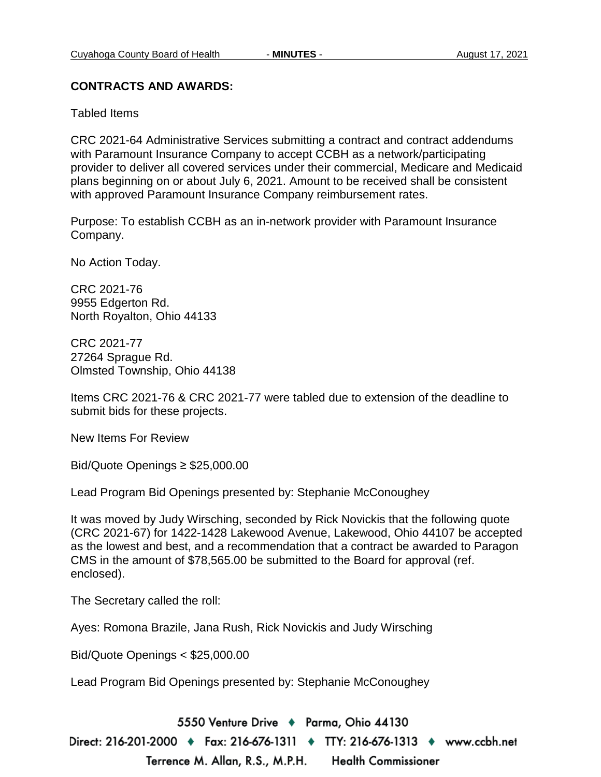#### **CONTRACTS AND AWARDS:**

Tabled Items

CRC 2021-64 Administrative Services submitting a contract and contract addendums with Paramount Insurance Company to accept CCBH as a network/participating provider to deliver all covered services under their commercial, Medicare and Medicaid plans beginning on or about July 6, 2021. Amount to be received shall be consistent with approved Paramount Insurance Company reimbursement rates.

Purpose: To establish CCBH as an in-network provider with Paramount Insurance Company.

No Action Today.

CRC 2021-76 9955 Edgerton Rd. North Royalton, Ohio 44133

CRC 2021-77 27264 Sprague Rd. Olmsted Township, Ohio 44138

Items CRC 2021-76 & CRC 2021-77 were tabled due to extension of the deadline to submit bids for these projects.

New Items For Review

Bid/Quote Openings ≥ \$25,000.00

Lead Program Bid Openings presented by: Stephanie McConoughey

It was moved by Judy Wirsching, seconded by Rick Novickis that the following quote (CRC 2021-67) for 1422-1428 Lakewood Avenue, Lakewood, Ohio 44107 be accepted as the lowest and best, and a recommendation that a contract be awarded to Paragon CMS in the amount of \$78,565.00 be submitted to the Board for approval (ref. enclosed).

The Secretary called the roll:

Ayes: Romona Brazile, Jana Rush, Rick Novickis and Judy Wirsching

Bid/Quote Openings < \$25,000.00

Lead Program Bid Openings presented by: Stephanie McConoughey

5550 Venture Drive + Parma, Ohio 44130 Direct: 216-201-2000 ♦ Fax: 216-676-1311 ♦ TTY: 216-676-1313 ♦ www.ccbh.net Terrence M. Allan, R.S., M.P.H. **Health Commissioner**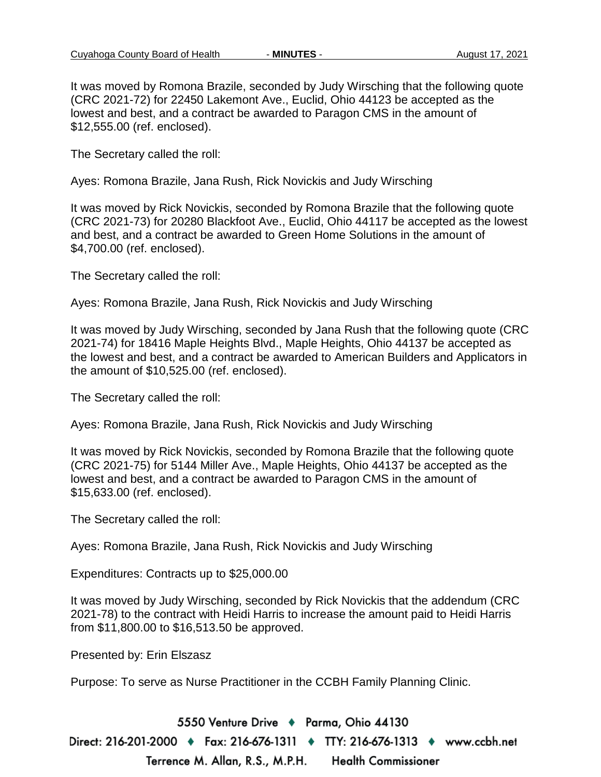It was moved by Romona Brazile, seconded by Judy Wirsching that the following quote (CRC 2021-72) for 22450 Lakemont Ave., Euclid, Ohio 44123 be accepted as the lowest and best, and a contract be awarded to Paragon CMS in the amount of \$12,555.00 (ref. enclosed).

The Secretary called the roll:

Ayes: Romona Brazile, Jana Rush, Rick Novickis and Judy Wirsching

It was moved by Rick Novickis, seconded by Romona Brazile that the following quote (CRC 2021-73) for 20280 Blackfoot Ave., Euclid, Ohio 44117 be accepted as the lowest and best, and a contract be awarded to Green Home Solutions in the amount of \$4,700.00 (ref. enclosed).

The Secretary called the roll:

Ayes: Romona Brazile, Jana Rush, Rick Novickis and Judy Wirsching

It was moved by Judy Wirsching, seconded by Jana Rush that the following quote (CRC 2021-74) for 18416 Maple Heights Blvd., Maple Heights, Ohio 44137 be accepted as the lowest and best, and a contract be awarded to American Builders and Applicators in the amount of \$10,525.00 (ref. enclosed).

The Secretary called the roll:

Ayes: Romona Brazile, Jana Rush, Rick Novickis and Judy Wirsching

It was moved by Rick Novickis, seconded by Romona Brazile that the following quote (CRC 2021-75) for 5144 Miller Ave., Maple Heights, Ohio 44137 be accepted as the lowest and best, and a contract be awarded to Paragon CMS in the amount of \$15,633.00 (ref. enclosed).

The Secretary called the roll:

Ayes: Romona Brazile, Jana Rush, Rick Novickis and Judy Wirsching

Expenditures: Contracts up to \$25,000.00

It was moved by Judy Wirsching, seconded by Rick Novickis that the addendum (CRC 2021-78) to the contract with Heidi Harris to increase the amount paid to Heidi Harris from \$11,800.00 to \$16,513.50 be approved.

Presented by: Erin Elszasz

Purpose: To serve as Nurse Practitioner in the CCBH Family Planning Clinic.

5550 Venture Drive + Parma, Ohio 44130 Direct: 216-201-2000 ♦ Fax: 216-676-1311 ♦ TTY: 216-676-1313 ♦ www.ccbh.net Terrence M. Allan, R.S., M.P.H. **Health Commissioner**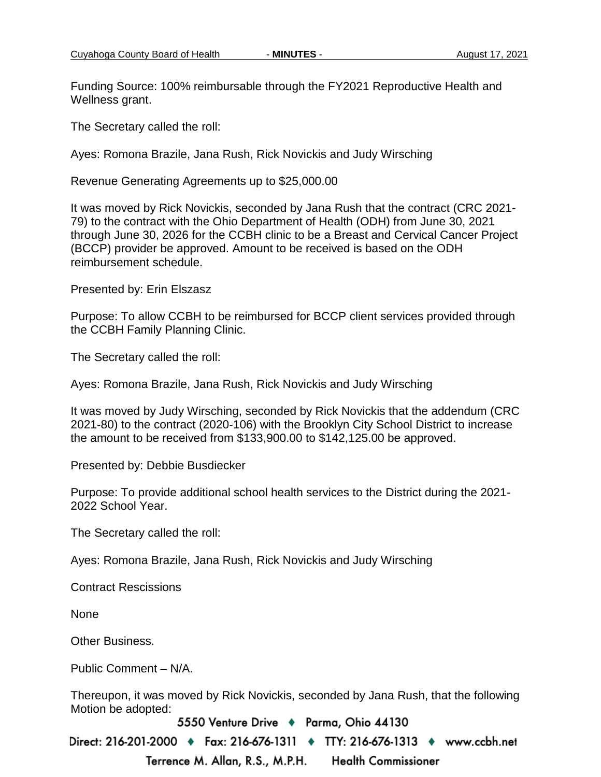Funding Source: 100% reimbursable through the FY2021 Reproductive Health and Wellness grant.

The Secretary called the roll:

Ayes: Romona Brazile, Jana Rush, Rick Novickis and Judy Wirsching

Revenue Generating Agreements up to \$25,000.00

It was moved by Rick Novickis, seconded by Jana Rush that the contract (CRC 2021- 79) to the contract with the Ohio Department of Health (ODH) from June 30, 2021 through June 30, 2026 for the CCBH clinic to be a Breast and Cervical Cancer Project (BCCP) provider be approved. Amount to be received is based on the ODH reimbursement schedule.

Presented by: Erin Elszasz

Purpose: To allow CCBH to be reimbursed for BCCP client services provided through the CCBH Family Planning Clinic.

The Secretary called the roll:

Ayes: Romona Brazile, Jana Rush, Rick Novickis and Judy Wirsching

It was moved by Judy Wirsching, seconded by Rick Novickis that the addendum (CRC 2021-80) to the contract (2020-106) with the Brooklyn City School District to increase the amount to be received from \$133,900.00 to \$142,125.00 be approved.

Presented by: Debbie Busdiecker

Purpose: To provide additional school health services to the District during the 2021- 2022 School Year.

The Secretary called the roll:

Ayes: Romona Brazile, Jana Rush, Rick Novickis and Judy Wirsching

Contract Rescissions

None

Other Business.

Public Comment – N/A.

Thereupon, it was moved by Rick Novickis, seconded by Jana Rush, that the following Motion be adopted:

5550 Venture Drive + Parma, Ohio 44130

Direct: 216-201-2000 ♦ Fax: 216-676-1311 ♦ TTY: 216-676-1313 ♦ www.ccbh.net Terrence M. Allan, R.S., M.P.H. **Health Commissioner**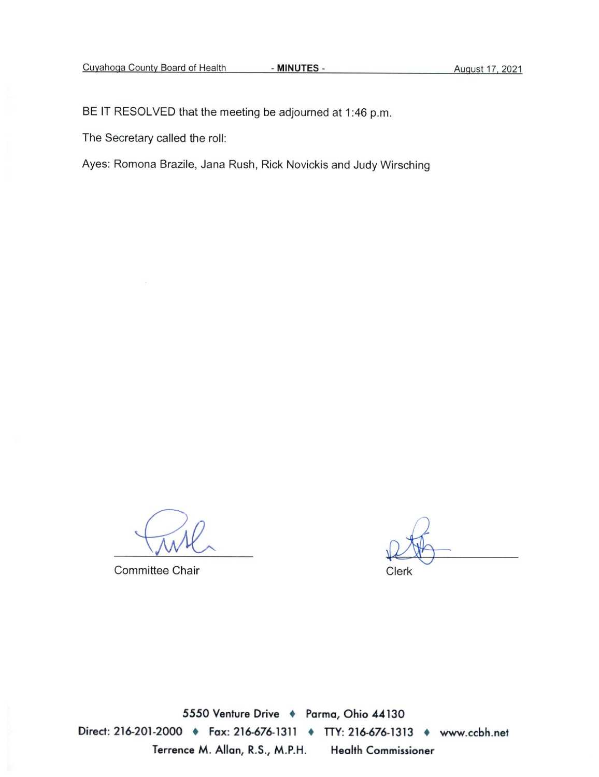BE IT RESOLVED that the meeting be adjourned at 1:46 p.m.

The Secretary called the roll:

Ayes: Romona Brazile, Jana Rush, Rick Novickis and Judy Wirsching

Committee Chair

Clerk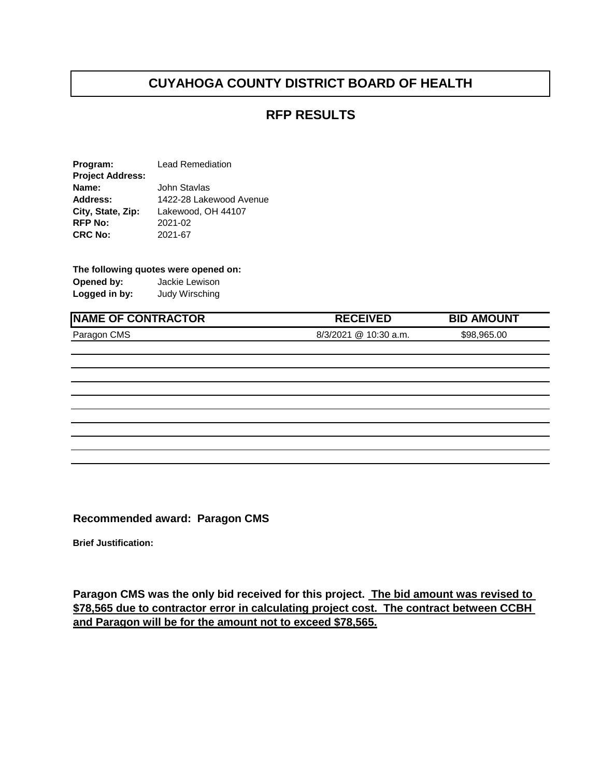## **RFP RESULTS**

**Program:** Lead Remediation **Project Address: Name:** John Stavlas **Address:** 1422-28 Lakewood Avenue **City, State, Zip:** Lakewood, OH 44107 **RFP No:** 2021-02 **CRC No:** 2021-67

#### **The following quotes were opened on:**

**Opened by:** Jackie Lewison **Logged in by:** Judy Wirsching

# **NAME OF CONTRACTOR RECEIVED BID AMOUNT**

### Paragon CMS 6/3/2021 @ 10:30 a.m. \$98,965.00

**Recommended award: Paragon CMS**

**Brief Justification:**

**Paragon CMS was the only bid received for this project. The bid amount was revised to \$78,565 due to contractor error in calculating project cost. The contract between CCBH and Paragon will be for the amount not to exceed \$78,565.**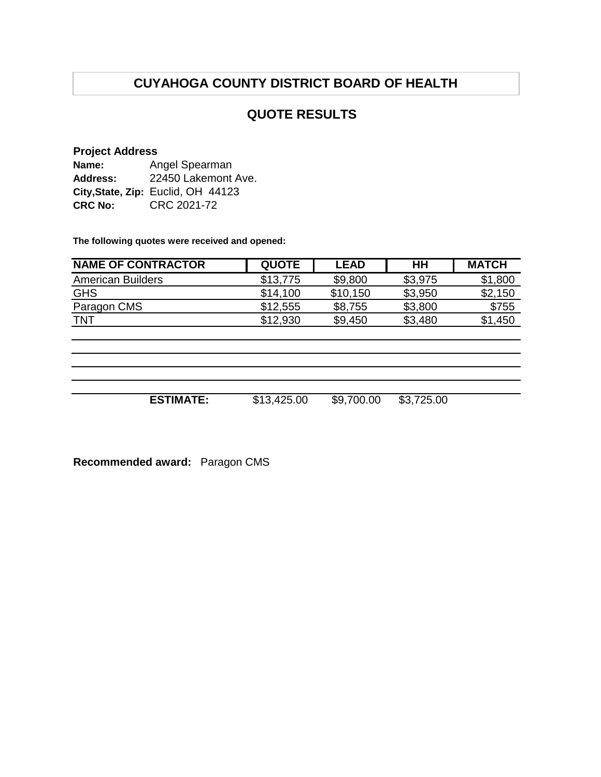## **QUOTE RESULTS**

#### **Project Address**

| Name:          | Angel Spearman                     |  |  |  |  |
|----------------|------------------------------------|--|--|--|--|
| Address:       | 22450 Lakemont Ave.                |  |  |  |  |
|                | City, State, Zip: Euclid, OH 44123 |  |  |  |  |
| <b>CRC No:</b> | CRC 2021-72                        |  |  |  |  |

**The following quotes were received and opened:**

| <b>NAME OF CONTRACTOR</b> | <b>QUOTE</b> | <b>LEAD</b> | HН      | <b>MATCH</b> |
|---------------------------|--------------|-------------|---------|--------------|
| <b>American Builders</b>  | \$13,775     | \$9,800     | \$3,975 | \$1,800      |
| <b>GHS</b>                | \$14,100     | \$10,150    | \$3,950 | \$2,150      |
| Paragon CMS               | \$12,555     | \$8,755     | \$3,800 | \$755        |
| <b>TNT</b>                | \$12,930     | \$9,450     | \$3,480 | \$1,450      |
|                           |              |             |         |              |
|                           |              |             |         |              |
|                           |              |             |         |              |
|                           |              |             |         |              |

| <b>ESTIMATE:</b> | \$13,425.00 | \$9,700.00 | \$3,725.00 |
|------------------|-------------|------------|------------|

**Recommended award:** Paragon CMS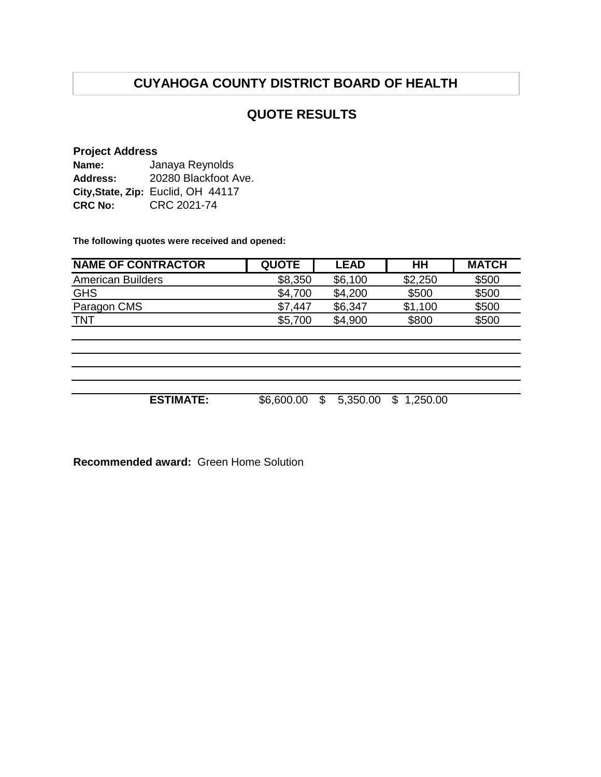## **QUOTE RESULTS**

#### **Project Address**

| Name:          | Janaya Reynolds                    |  |  |  |  |
|----------------|------------------------------------|--|--|--|--|
| Address:       | 20280 Blackfoot Ave.               |  |  |  |  |
|                | City, State, Zip: Euclid, OH 44117 |  |  |  |  |
| <b>CRC No:</b> | CRC 2021-74                        |  |  |  |  |

**The following quotes were received and opened:**

| <b>NAME OF CONTRACTOR</b> | <b>QUOTE</b> | <b>LEAD</b>              | HН             | <b>MATCH</b> |
|---------------------------|--------------|--------------------------|----------------|--------------|
| <b>American Builders</b>  | \$8,350      | \$6,100                  | \$2,250        | \$500        |
| <b>GHS</b>                | \$4,700      | \$4,200                  | \$500          | \$500        |
| Paragon CMS               | \$7,447      | \$6,347                  | \$1,100        | \$500        |
| <b>TNT</b>                | \$5,700      | \$4,900                  | \$800          | \$500        |
|                           |              |                          |                |              |
|                           |              |                          |                |              |
|                           |              |                          |                |              |
|                           |              |                          |                |              |
|                           |              |                          |                |              |
| <b>ESTIMATE:</b>          | \$6,600.00   | $\mathbb{S}$<br>5,350.00 | \$<br>1,250.00 |              |
|                           |              |                          |                |              |

**Recommended award:** Green Home Solution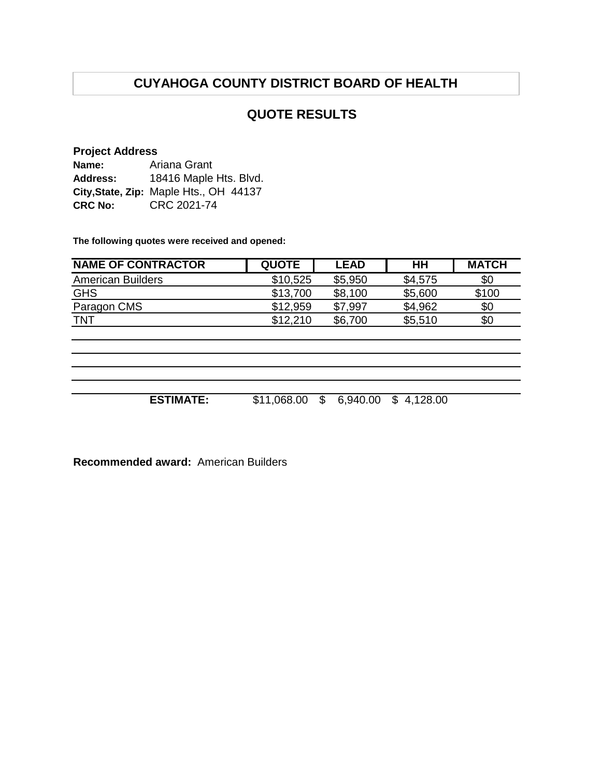## **QUOTE RESULTS**

#### **Project Address**

| Name:          | Ariana Grant                           |  |  |  |  |
|----------------|----------------------------------------|--|--|--|--|
| Address:       | 18416 Maple Hts. Blvd.                 |  |  |  |  |
|                | City, State, Zip: Maple Hts., OH 44137 |  |  |  |  |
| <b>CRC No:</b> | CRC 2021-74                            |  |  |  |  |

**The following quotes were received and opened:**

| <b>NAME OF CONTRACTOR</b> | <b>QUOTE</b> | <b>LEAD</b>    | HH         | <b>MATCH</b> |
|---------------------------|--------------|----------------|------------|--------------|
| <b>American Builders</b>  | \$10,525     | \$5,950        | \$4,575    | \$0          |
| <b>GHS</b>                | \$13,700     | \$8,100        | \$5,600    | \$100        |
| Paragon CMS               | \$12,959     | \$7,997        | \$4,962    | \$0          |
| <b>TNT</b>                | \$12,210     | \$6,700        | \$5,510    | \$0          |
|                           |              |                |            |              |
|                           |              |                |            |              |
|                           |              |                |            |              |
|                           |              |                |            |              |
|                           |              |                |            |              |
| <b>ESTIMATE:</b>          | \$11,068.00  | \$<br>6,940.00 | \$4,128.00 |              |
|                           |              |                |            |              |

**Recommended award:** American Builders